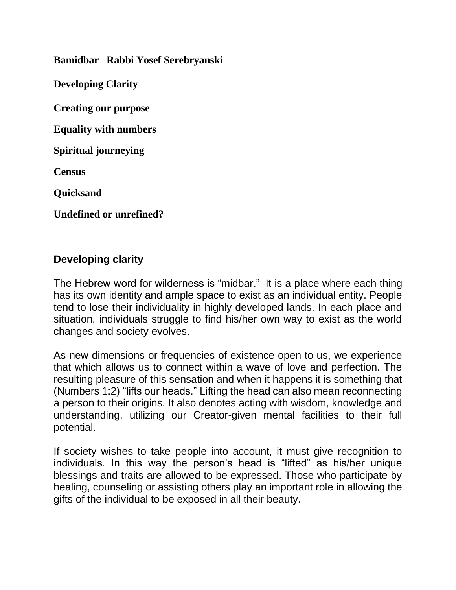**Bamidbar Rabbi Yosef Serebryanski**

**Developing Clarity**

**Creating our purpose**

**Equality with numbers**

**Spiritual journeying**

**Census** 

**Quicksand**

**Undefined or unrefined?**

#### **Developing clarity**

The Hebrew word for wilderness is "midbar." It is a place where each thing has its own identity and ample space to exist as an individual entity. People tend to lose their individuality in highly developed lands. In each place and situation, individuals struggle to find his/her own way to exist as the world changes and society evolves.

As new dimensions or frequencies of existence open to us, we experience that which allows us to connect within a wave of love and perfection. The resulting pleasure of this sensation and when it happens it is something that (Numbers 1:2) "lifts our heads." Lifting the head can also mean reconnecting a person to their origins. It also denotes acting with wisdom, knowledge and understanding, utilizing our Creator-given mental facilities to their full potential.

If society wishes to take people into account, it must give recognition to individuals. In this way the person's head is "lifted" as his/her unique blessings and traits are allowed to be expressed. Those who participate by healing, counseling or assisting others play an important role in allowing the gifts of the individual to be exposed in all their beauty.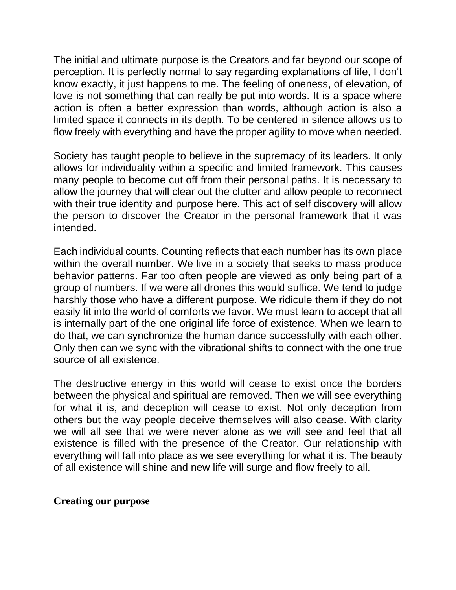The initial and ultimate purpose is the Creators and far beyond our scope of perception. It is perfectly normal to say regarding explanations of life, I don't know exactly, it just happens to me. The feeling of oneness, of elevation, of love is not something that can really be put into words. It is a space where action is often a better expression than words, although action is also a limited space it connects in its depth. To be centered in silence allows us to flow freely with everything and have the proper agility to move when needed.

Society has taught people to believe in the supremacy of its leaders. It only allows for individuality within a specific and limited framework. This causes many people to become cut off from their personal paths. It is necessary to allow the journey that will clear out the clutter and allow people to reconnect with their true identity and purpose here. This act of self discovery will allow the person to discover the Creator in the personal framework that it was intended.

Each individual counts. Counting reflects that each number has its own place within the overall number. We live in a society that seeks to mass produce behavior patterns. Far too often people are viewed as only being part of a group of numbers. If we were all drones this would suffice. We tend to judge harshly those who have a different purpose. We ridicule them if they do not easily fit into the world of comforts we favor. We must learn to accept that all is internally part of the one original life force of existence. When we learn to do that, we can synchronize the human dance successfully with each other. Only then can we sync with the vibrational shifts to connect with the one true source of all existence.

The destructive energy in this world will cease to exist once the borders between the physical and spiritual are removed. Then we will see everything for what it is, and deception will cease to exist. Not only deception from others but the way people deceive themselves will also cease. With clarity we will all see that we were never alone as we will see and feel that all existence is filled with the presence of the Creator. Our relationship with everything will fall into place as we see everything for what it is. The beauty of all existence will shine and new life will surge and flow freely to all.

#### **Creating our purpose**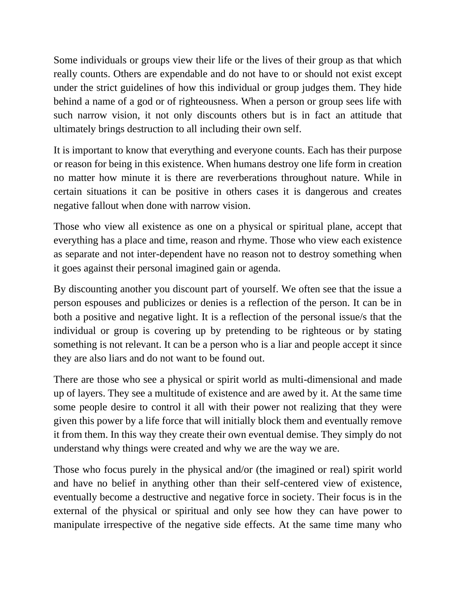Some individuals or groups view their life or the lives of their group as that which really counts. Others are expendable and do not have to or should not exist except under the strict guidelines of how this individual or group judges them. They hide behind a name of a god or of righteousness. When a person or group sees life with such narrow vision, it not only discounts others but is in fact an attitude that ultimately brings destruction to all including their own self.

It is important to know that everything and everyone counts. Each has their purpose or reason for being in this existence. When humans destroy one life form in creation no matter how minute it is there are reverberations throughout nature. While in certain situations it can be positive in others cases it is dangerous and creates negative fallout when done with narrow vision.

Those who view all existence as one on a physical or spiritual plane, accept that everything has a place and time, reason and rhyme. Those who view each existence as separate and not inter-dependent have no reason not to destroy something when it goes against their personal imagined gain or agenda.

By discounting another you discount part of yourself. We often see that the issue a person espouses and publicizes or denies is a reflection of the person. It can be in both a positive and negative light. It is a reflection of the personal issue/s that the individual or group is covering up by pretending to be righteous or by stating something is not relevant. It can be a person who is a liar and people accept it since they are also liars and do not want to be found out.

There are those who see a physical or spirit world as multi-dimensional and made up of layers. They see a multitude of existence and are awed by it. At the same time some people desire to control it all with their power not realizing that they were given this power by a life force that will initially block them and eventually remove it from them. In this way they create their own eventual demise. They simply do not understand why things were created and why we are the way we are.

Those who focus purely in the physical and/or (the imagined or real) spirit world and have no belief in anything other than their self-centered view of existence, eventually become a destructive and negative force in society. Their focus is in the external of the physical or spiritual and only see how they can have power to manipulate irrespective of the negative side effects. At the same time many who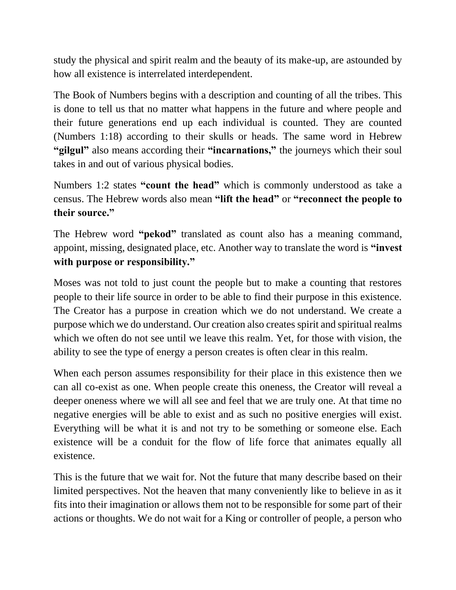study the physical and spirit realm and the beauty of its make-up, are astounded by how all existence is interrelated interdependent.

The Book of Numbers begins with a description and counting of all the tribes. This is done to tell us that no matter what happens in the future and where people and their future generations end up each individual is counted. They are counted (Numbers 1:18) according to their skulls or heads. The same word in Hebrew **"gilgul"** also means according their **"incarnations,"** the journeys which their soul takes in and out of various physical bodies.

Numbers 1:2 states **"count the head"** which is commonly understood as take a census. The Hebrew words also mean **"lift the head"** or **"reconnect the people to their source."**

The Hebrew word **"pekod"** translated as count also has a meaning command, appoint, missing, designated place, etc. Another way to translate the word is **"invest with purpose or responsibility."**

Moses was not told to just count the people but to make a counting that restores people to their life source in order to be able to find their purpose in this existence. The Creator has a purpose in creation which we do not understand. We create a purpose which we do understand. Our creation also creates spirit and spiritual realms which we often do not see until we leave this realm. Yet, for those with vision, the ability to see the type of energy a person creates is often clear in this realm.

When each person assumes responsibility for their place in this existence then we can all co-exist as one. When people create this oneness, the Creator will reveal a deeper oneness where we will all see and feel that we are truly one. At that time no negative energies will be able to exist and as such no positive energies will exist. Everything will be what it is and not try to be something or someone else. Each existence will be a conduit for the flow of life force that animates equally all existence.

This is the future that we wait for. Not the future that many describe based on their limited perspectives. Not the heaven that many conveniently like to believe in as it fits into their imagination or allows them not to be responsible for some part of their actions or thoughts. We do not wait for a King or controller of people, a person who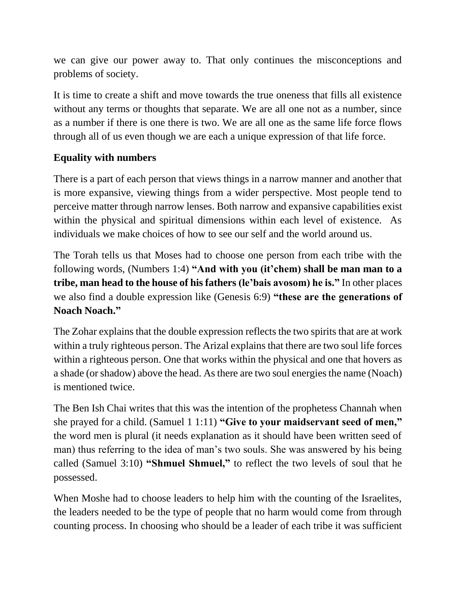we can give our power away to. That only continues the misconceptions and problems of society.

It is time to create a shift and move towards the true oneness that fills all existence without any terms or thoughts that separate. We are all one not as a number, since as a number if there is one there is two. We are all one as the same life force flows through all of us even though we are each a unique expression of that life force.

### **Equality with numbers**

There is a part of each person that views things in a narrow manner and another that is more expansive, viewing things from a wider perspective. Most people tend to perceive matter through narrow lenses. Both narrow and expansive capabilities exist within the physical and spiritual dimensions within each level of existence. As individuals we make choices of how to see our self and the world around us.

The Torah tells us that Moses had to choose one person from each tribe with the following words, (Numbers 1:4) **"And with you (it'chem) shall be man man to a tribe, man head to the house of his fathers (le'bais avosom) he is."** In other places we also find a double expression like (Genesis 6:9) **"these are the generations of Noach Noach."**

The Zohar explains that the double expression reflects the two spirits that are at work within a truly righteous person. The Arizal explains that there are two soul life forces within a righteous person. One that works within the physical and one that hovers as a shade (or shadow) above the head. As there are two soul energies the name (Noach) is mentioned twice.

The Ben Ish Chai writes that this was the intention of the prophetess Channah when she prayed for a child. (Samuel 1 1:11) **"Give to your maidservant seed of men,"** the word men is plural (it needs explanation as it should have been written seed of man) thus referring to the idea of man's two souls. She was answered by his being called (Samuel 3:10) **"Shmuel Shmuel,"** to reflect the two levels of soul that he possessed.

When Moshe had to choose leaders to help him with the counting of the Israelites, the leaders needed to be the type of people that no harm would come from through counting process. In choosing who should be a leader of each tribe it was sufficient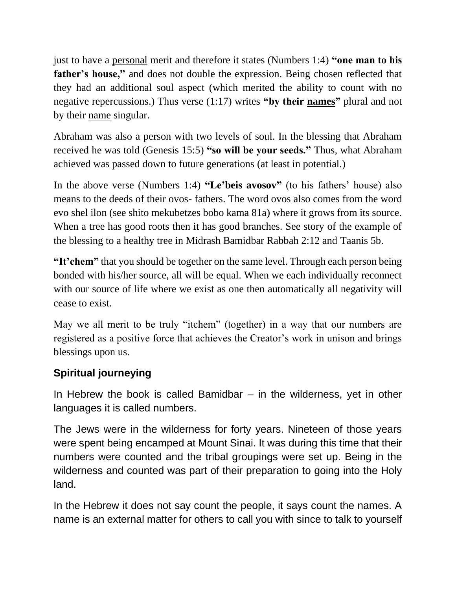just to have a personal merit and therefore it states (Numbers 1:4) **"one man to his father's house,"** and does not double the expression. Being chosen reflected that they had an additional soul aspect (which merited the ability to count with no negative repercussions.) Thus verse (1:17) writes **"by their names"** plural and not by their name singular.

Abraham was also a person with two levels of soul. In the blessing that Abraham received he was told (Genesis 15:5) **"so will be your seeds."** Thus, what Abraham achieved was passed down to future generations (at least in potential.)

In the above verse (Numbers 1:4) **"Le'beis avosov"** (to his fathers' house) also means to the deeds of their ovos- fathers. The word ovos also comes from the word evo shel ilon (see shito mekubetzes bobo kama 81a) where it grows from its source. When a tree has good roots then it has good branches. See story of the example of the blessing to a healthy tree in Midrash Bamidbar Rabbah 2:12 and Taanis 5b.

**"It'chem"** that you should be together on the same level. Through each person being bonded with his/her source, all will be equal. When we each individually reconnect with our source of life where we exist as one then automatically all negativity will cease to exist.

May we all merit to be truly "itchem" (together) in a way that our numbers are registered as a positive force that achieves the Creator's work in unison and brings blessings upon us.

# **Spiritual journeying**

In Hebrew the book is called Bamidbar  $-$  in the wilderness, yet in other languages it is called numbers.

The Jews were in the wilderness for forty years. Nineteen of those years were spent being encamped at Mount Sinai. It was during this time that their numbers were counted and the tribal groupings were set up. Being in the wilderness and counted was part of their preparation to going into the Holy land.

In the Hebrew it does not say count the people, it says count the names. A name is an external matter for others to call you with since to talk to yourself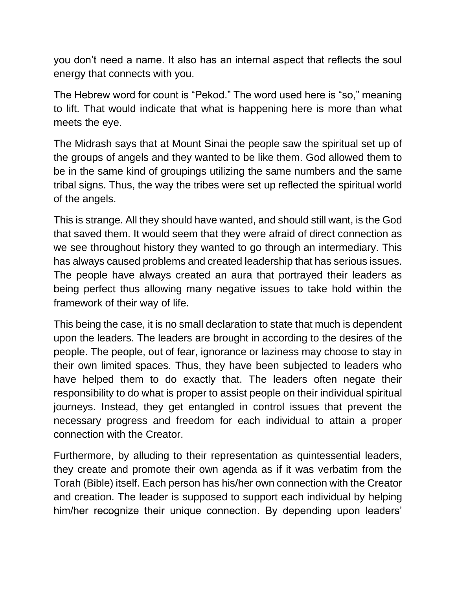you don't need a name. It also has an internal aspect that reflects the soul energy that connects with you.

The Hebrew word for count is "Pekod." The word used here is "so," meaning to lift. That would indicate that what is happening here is more than what meets the eye.

The Midrash says that at Mount Sinai the people saw the spiritual set up of the groups of angels and they wanted to be like them. God allowed them to be in the same kind of groupings utilizing the same numbers and the same tribal signs. Thus, the way the tribes were set up reflected the spiritual world of the angels.

This is strange. All they should have wanted, and should still want, is the God that saved them. It would seem that they were afraid of direct connection as we see throughout history they wanted to go through an intermediary. This has always caused problems and created leadership that has serious issues. The people have always created an aura that portrayed their leaders as being perfect thus allowing many negative issues to take hold within the framework of their way of life.

This being the case, it is no small declaration to state that much is dependent upon the leaders. The leaders are brought in according to the desires of the people. The people, out of fear, ignorance or laziness may choose to stay in their own limited spaces. Thus, they have been subjected to leaders who have helped them to do exactly that. The leaders often negate their responsibility to do what is proper to assist people on their individual spiritual journeys. Instead, they get entangled in control issues that prevent the necessary progress and freedom for each individual to attain a proper connection with the Creator.

Furthermore, by alluding to their representation as quintessential leaders, they create and promote their own agenda as if it was verbatim from the Torah (Bible) itself. Each person has his/her own connection with the Creator and creation. The leader is supposed to support each individual by helping him/her recognize their unique connection. By depending upon leaders'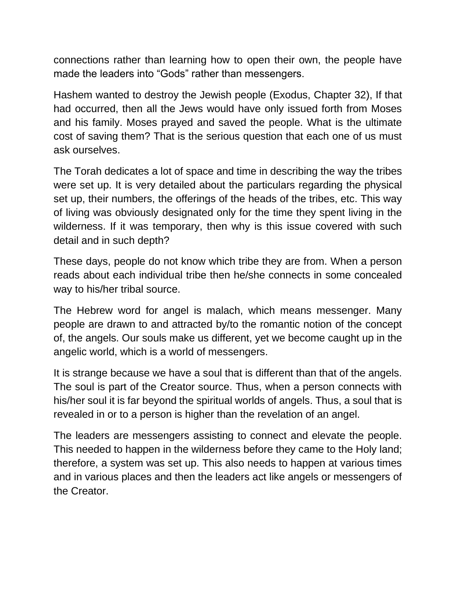connections rather than learning how to open their own, the people have made the leaders into "Gods" rather than messengers.

Hashem wanted to destroy the Jewish people (Exodus, Chapter 32), If that had occurred, then all the Jews would have only issued forth from Moses and his family. Moses prayed and saved the people. What is the ultimate cost of saving them? That is the serious question that each one of us must ask ourselves.

The Torah dedicates a lot of space and time in describing the way the tribes were set up. It is very detailed about the particulars regarding the physical set up, their numbers, the offerings of the heads of the tribes, etc. This way of living was obviously designated only for the time they spent living in the wilderness. If it was temporary, then why is this issue covered with such detail and in such depth?

These days, people do not know which tribe they are from. When a person reads about each individual tribe then he/she connects in some concealed way to his/her tribal source.

The Hebrew word for angel is malach, which means messenger. Many people are drawn to and attracted by/to the romantic notion of the concept of, the angels. Our souls make us different, yet we become caught up in the angelic world, which is a world of messengers.

It is strange because we have a soul that is different than that of the angels. The soul is part of the Creator source. Thus, when a person connects with his/her soul it is far beyond the spiritual worlds of angels. Thus, a soul that is revealed in or to a person is higher than the revelation of an angel.

The leaders are messengers assisting to connect and elevate the people. This needed to happen in the wilderness before they came to the Holy land; therefore, a system was set up. This also needs to happen at various times and in various places and then the leaders act like angels or messengers of the Creator.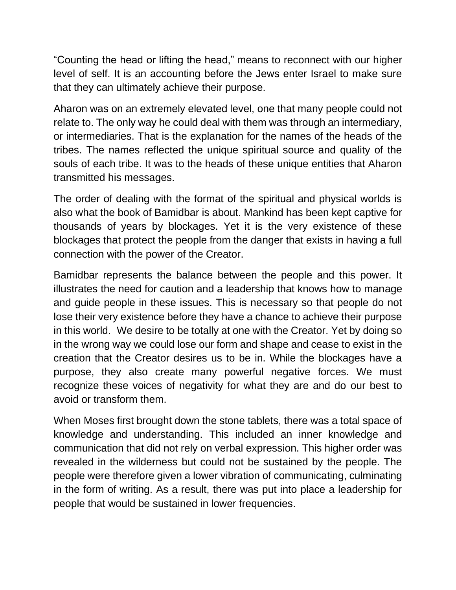"Counting the head or lifting the head," means to reconnect with our higher level of self. It is an accounting before the Jews enter Israel to make sure that they can ultimately achieve their purpose.

Aharon was on an extremely elevated level, one that many people could not relate to. The only way he could deal with them was through an intermediary, or intermediaries. That is the explanation for the names of the heads of the tribes. The names reflected the unique spiritual source and quality of the souls of each tribe. It was to the heads of these unique entities that Aharon transmitted his messages.

The order of dealing with the format of the spiritual and physical worlds is also what the book of Bamidbar is about. Mankind has been kept captive for thousands of years by blockages. Yet it is the very existence of these blockages that protect the people from the danger that exists in having a full connection with the power of the Creator.

Bamidbar represents the balance between the people and this power. It illustrates the need for caution and a leadership that knows how to manage and guide people in these issues. This is necessary so that people do not lose their very existence before they have a chance to achieve their purpose in this world. We desire to be totally at one with the Creator. Yet by doing so in the wrong way we could lose our form and shape and cease to exist in the creation that the Creator desires us to be in. While the blockages have a purpose, they also create many powerful negative forces. We must recognize these voices of negativity for what they are and do our best to avoid or transform them.

When Moses first brought down the stone tablets, there was a total space of knowledge and understanding. This included an inner knowledge and communication that did not rely on verbal expression. This higher order was revealed in the wilderness but could not be sustained by the people. The people were therefore given a lower vibration of communicating, culminating in the form of writing. As a result, there was put into place a leadership for people that would be sustained in lower frequencies.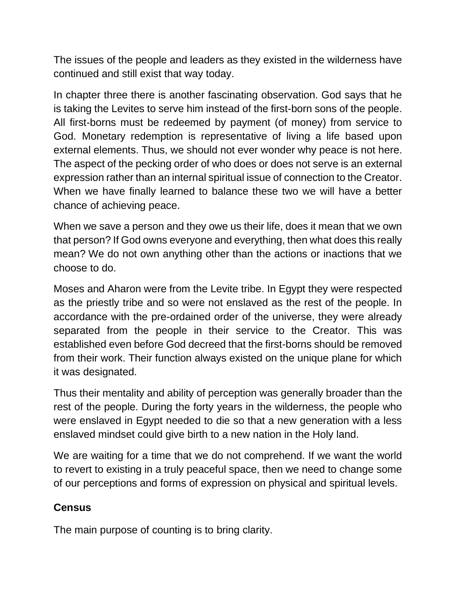The issues of the people and leaders as they existed in the wilderness have continued and still exist that way today.

In chapter three there is another fascinating observation. God says that he is taking the Levites to serve him instead of the first-born sons of the people. All first-borns must be redeemed by payment (of money) from service to God. Monetary redemption is representative of living a life based upon external elements. Thus, we should not ever wonder why peace is not here. The aspect of the pecking order of who does or does not serve is an external expression rather than an internal spiritual issue of connection to the Creator. When we have finally learned to balance these two we will have a better chance of achieving peace.

When we save a person and they owe us their life, does it mean that we own that person? If God owns everyone and everything, then what does this really mean? We do not own anything other than the actions or inactions that we choose to do.

Moses and Aharon were from the Levite tribe. In Egypt they were respected as the priestly tribe and so were not enslaved as the rest of the people. In accordance with the pre-ordained order of the universe, they were already separated from the people in their service to the Creator. This was established even before God decreed that the first-borns should be removed from their work. Their function always existed on the unique plane for which it was designated.

Thus their mentality and ability of perception was generally broader than the rest of the people. During the forty years in the wilderness, the people who were enslaved in Egypt needed to die so that a new generation with a less enslaved mindset could give birth to a new nation in the Holy land.

We are waiting for a time that we do not comprehend. If we want the world to revert to existing in a truly peaceful space, then we need to change some of our perceptions and forms of expression on physical and spiritual levels.

# **Census**

The main purpose of counting is to bring clarity.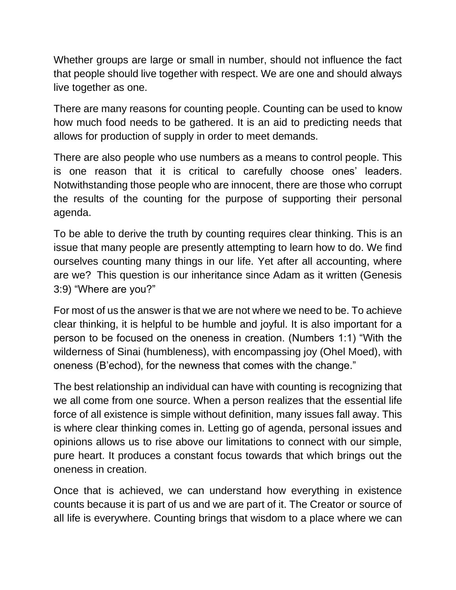Whether groups are large or small in number, should not influence the fact that people should live together with respect. We are one and should always live together as one.

There are many reasons for counting people. Counting can be used to know how much food needs to be gathered. It is an aid to predicting needs that allows for production of supply in order to meet demands.

There are also people who use numbers as a means to control people. This is one reason that it is critical to carefully choose ones' leaders. Notwithstanding those people who are innocent, there are those who corrupt the results of the counting for the purpose of supporting their personal agenda.

To be able to derive the truth by counting requires clear thinking. This is an issue that many people are presently attempting to learn how to do. We find ourselves counting many things in our life. Yet after all accounting, where are we? This question is our inheritance since Adam as it written (Genesis 3:9) "Where are you?"

For most of us the answer is that we are not where we need to be. To achieve clear thinking, it is helpful to be humble and joyful. It is also important for a person to be focused on the oneness in creation. (Numbers 1:1) "With the wilderness of Sinai (humbleness), with encompassing joy (Ohel Moed), with oneness (B'echod), for the newness that comes with the change."

The best relationship an individual can have with counting is recognizing that we all come from one source. When a person realizes that the essential life force of all existence is simple without definition, many issues fall away. This is where clear thinking comes in. Letting go of agenda, personal issues and opinions allows us to rise above our limitations to connect with our simple, pure heart. It produces a constant focus towards that which brings out the oneness in creation.

Once that is achieved, we can understand how everything in existence counts because it is part of us and we are part of it. The Creator or source of all life is everywhere. Counting brings that wisdom to a place where we can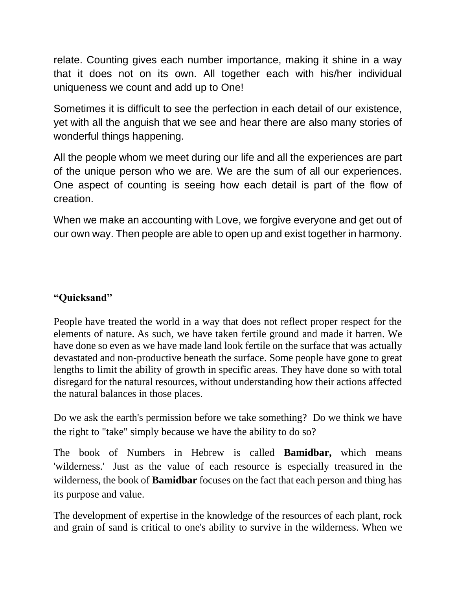relate. Counting gives each number importance, making it shine in a way that it does not on its own. All together each with his/her individual uniqueness we count and add up to One!

Sometimes it is difficult to see the perfection in each detail of our existence, yet with all the anguish that we see and hear there are also many stories of wonderful things happening.

All the people whom we meet during our life and all the experiences are part of the unique person who we are. We are the sum of all our experiences. One aspect of counting is seeing how each detail is part of the flow of creation.

When we make an accounting with Love, we forgive everyone and get out of our own way. Then people are able to open up and exist together in harmony.

### **"Quicksand"**

People have treated the world in a way that does not reflect proper respect for the elements of nature. As such, we have taken fertile ground and made it barren. We have done so even as we have made land look fertile on the surface that was actually devastated and non-productive beneath the surface. Some people have gone to great lengths to limit the ability of growth in specific areas. They have done so with total disregard for the natural resources, without understanding how their actions affected the natural balances in those places.

Do we ask the earth's permission before we take something? Do we think we have the right to "take" simply because we have the ability to do so?

The book of Numbers in Hebrew is called **Bamidbar,** which means 'wilderness.' Just as the value of each resource is especially treasured in the wilderness, the book of **Bamidbar** focuses on the fact that each person and thing has its purpose and value.

The development of expertise in the knowledge of the resources of each plant, rock and grain of sand is critical to one's ability to survive in the wilderness. When we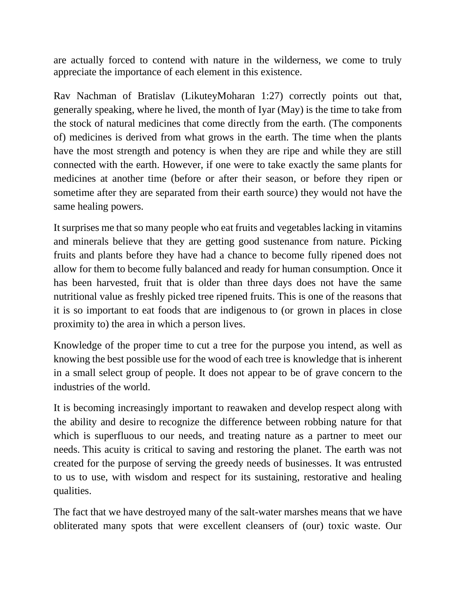are actually forced to contend with nature in the wilderness, we come to truly appreciate the importance of each element in this existence.

Rav Nachman of Bratislav (LikuteyMoharan 1:27) correctly points out that, generally speaking, where he lived, the month of Iyar (May) is the time to take from the stock of natural medicines that come directly from the earth. (The components of) medicines is derived from what grows in the earth. The time when the plants have the most strength and potency is when they are ripe and while they are still connected with the earth. However, if one were to take exactly the same plants for medicines at another time (before or after their season, or before they ripen or sometime after they are separated from their earth source) they would not have the same healing powers.

It surprises me that so many people who eat fruits and vegetables lacking in vitamins and minerals believe that they are getting good sustenance from nature. Picking fruits and plants before they have had a chance to become fully ripened does not allow for them to become fully balanced and ready for human consumption. Once it has been harvested, fruit that is older than three days does not have the same nutritional value as freshly picked tree ripened fruits. This is one of the reasons that it is so important to eat foods that are indigenous to (or grown in places in close proximity to) the area in which a person lives.

Knowledge of the proper time to cut a tree for the purpose you intend, as well as knowing the best possible use for the wood of each tree is knowledge that is inherent in a small select group of people. It does not appear to be of grave concern to the industries of the world.

It is becoming increasingly important to reawaken and develop respect along with the ability and desire to recognize the difference between robbing nature for that which is superfluous to our needs, and treating nature as a partner to meet our needs. This acuity is critical to saving and restoring the planet. The earth was not created for the purpose of serving the greedy needs of businesses. It was entrusted to us to use, with wisdom and respect for its sustaining, restorative and healing qualities.

The fact that we have destroyed many of the salt-water marshes means that we have obliterated many spots that were excellent cleansers of (our) toxic waste. Our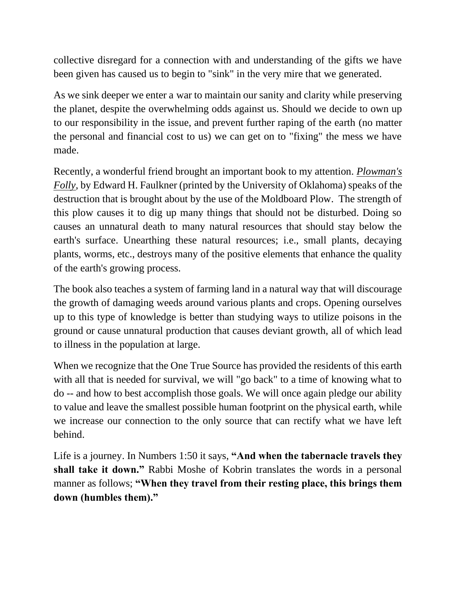collective disregard for a connection with and understanding of the gifts we have been given has caused us to begin to "sink" in the very mire that we generated.

As we sink deeper we enter a war to maintain our sanity and clarity while preserving the planet, despite the overwhelming odds against us. Should we decide to own up to our responsibility in the issue, and prevent further raping of the earth (no matter the personal and financial cost to us) we can get on to "fixing" the mess we have made.

Recently, a wonderful friend brought an important book to my attention. *Plowman's Folly*, by Edward H. Faulkner (printed by the University of Oklahoma) speaks of the destruction that is brought about by the use of the Moldboard Plow. The strength of this plow causes it to dig up many things that should not be disturbed. Doing so causes an unnatural death to many natural resources that should stay below the earth's surface. Unearthing these natural resources; i.e., small plants, decaying plants, worms, etc., destroys many of the positive elements that enhance the quality of the earth's growing process.

The book also teaches a system of farming land in a natural way that will discourage the growth of damaging weeds around various plants and crops. Opening ourselves up to this type of knowledge is better than studying ways to utilize poisons in the ground or cause unnatural production that causes deviant growth, all of which lead to illness in the population at large.

When we recognize that the One True Source has provided the residents of this earth with all that is needed for survival, we will "go back" to a time of knowing what to do -- and how to best accomplish those goals. We will once again pledge our ability to value and leave the smallest possible human footprint on the physical earth, while we increase our connection to the only source that can rectify what we have left behind.

Life is a journey. In Numbers 1:50 it says, **"And when the tabernacle travels they shall take it down."** Rabbi Moshe of Kobrin translates the words in a personal manner as follows; **"When they travel from their resting place, this brings them down (humbles them)."**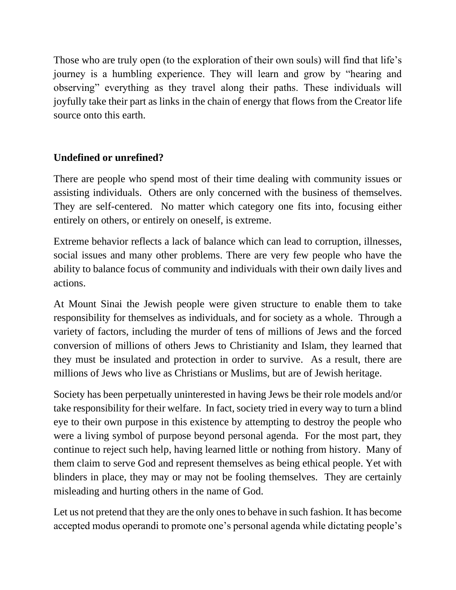Those who are truly open (to the exploration of their own souls) will find that life's journey is a humbling experience. They will learn and grow by "hearing and observing" everything as they travel along their paths. These individuals will joyfully take their part as links in the chain of energy that flows from the Creator life source onto this earth.

## **Undefined or unrefined?**

There are people who spend most of their time dealing with community issues or assisting individuals. Others are only concerned with the business of themselves. They are self-centered. No matter which category one fits into, focusing either entirely on others, or entirely on oneself, is extreme.

Extreme behavior reflects a lack of balance which can lead to corruption, illnesses, social issues and many other problems. There are very few people who have the ability to balance focus of community and individuals with their own daily lives and actions.

At Mount Sinai the Jewish people were given structure to enable them to take responsibility for themselves as individuals, and for society as a whole. Through a variety of factors, including the murder of tens of millions of Jews and the forced conversion of millions of others Jews to Christianity and Islam, they learned that they must be insulated and protection in order to survive. As a result, there are millions of Jews who live as Christians or Muslims, but are of Jewish heritage.

Society has been perpetually uninterested in having Jews be their role models and/or take responsibility for their welfare. In fact, society tried in every way to turn a blind eye to their own purpose in this existence by attempting to destroy the people who were a living symbol of purpose beyond personal agenda. For the most part, they continue to reject such help, having learned little or nothing from history. Many of them claim to serve God and represent themselves as being ethical people. Yet with blinders in place, they may or may not be fooling themselves. They are certainly misleading and hurting others in the name of God.

Let us not pretend that they are the only ones to behave in such fashion. It has become accepted modus operandi to promote one's personal agenda while dictating people's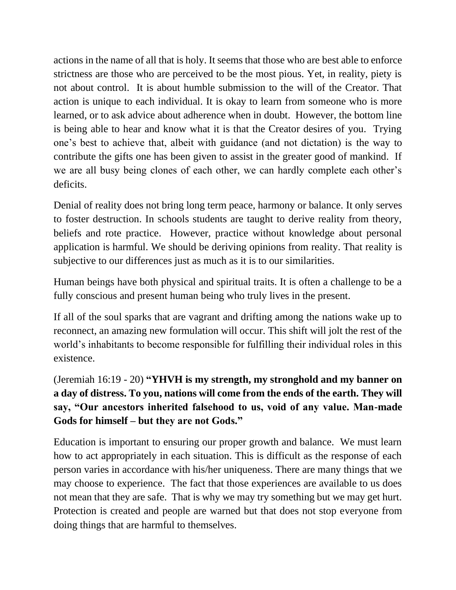actions in the name of all that is holy. It seems that those who are best able to enforce strictness are those who are perceived to be the most pious. Yet, in reality, piety is not about control. It is about humble submission to the will of the Creator. That action is unique to each individual. It is okay to learn from someone who is more learned, or to ask advice about adherence when in doubt. However, the bottom line is being able to hear and know what it is that the Creator desires of you. Trying one's best to achieve that, albeit with guidance (and not dictation) is the way to contribute the gifts one has been given to assist in the greater good of mankind. If we are all busy being clones of each other, we can hardly complete each other's deficits.

Denial of reality does not bring long term peace, harmony or balance. It only serves to foster destruction. In schools students are taught to derive reality from theory, beliefs and rote practice. However, practice without knowledge about personal application is harmful. We should be deriving opinions from reality. That reality is subjective to our differences just as much as it is to our similarities.

Human beings have both physical and spiritual traits. It is often a challenge to be a fully conscious and present human being who truly lives in the present.

If all of the soul sparks that are vagrant and drifting among the nations wake up to reconnect, an amazing new formulation will occur. This shift will jolt the rest of the world's inhabitants to become responsible for fulfilling their individual roles in this existence.

(Jeremiah 16:19 - 20) **"YHVH is my strength, my stronghold and my banner on a day of distress. To you, nations will come from the ends of the earth. They will say, "Our ancestors inherited falsehood to us, void of any value. Man-made Gods for himself – but they are not Gods."**

Education is important to ensuring our proper growth and balance. We must learn how to act appropriately in each situation. This is difficult as the response of each person varies in accordance with his/her uniqueness. There are many things that we may choose to experience. The fact that those experiences are available to us does not mean that they are safe. That is why we may try something but we may get hurt. Protection is created and people are warned but that does not stop everyone from doing things that are harmful to themselves.